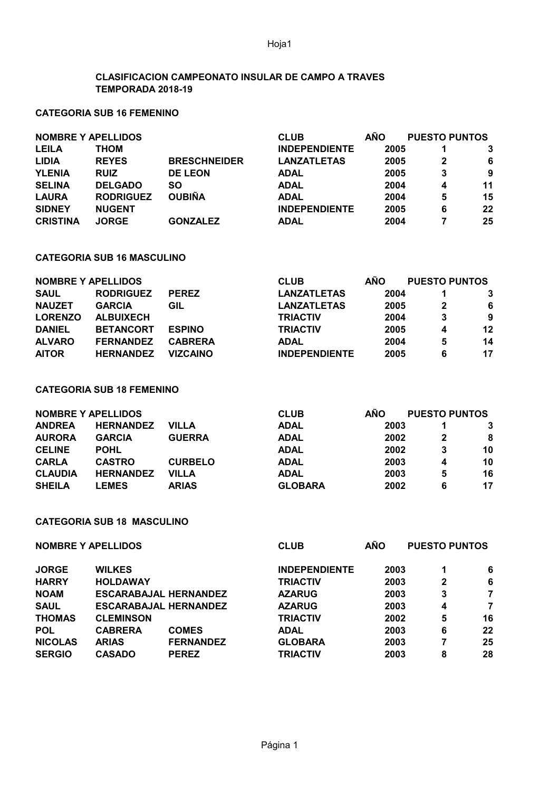Hoja1

### **CLASIFICACION CAMPEONATO INSULAR DE CAMPO A TRAVES TEMPORADA 2018-19**

# **CATEGORIA SUB 16 FEMENINO**

| <b>NOMBRE Y APELLIDOS</b> |                  |                     | <b>CLUB</b>          | <b>AÑO</b> | <b>PUESTO PUNTOS</b> |    |
|---------------------------|------------------|---------------------|----------------------|------------|----------------------|----|
| <b>LEILA</b>              | <b>THOM</b>      |                     | <b>INDEPENDIENTE</b> | 2005       |                      |    |
| <b>LIDIA</b>              | <b>REYES</b>     | <b>BRESCHNEIDER</b> | <b>LANZATLETAS</b>   | 2005       | 2                    | -6 |
| <b>YLENIA</b>             | <b>RUIZ</b>      | <b>DE LEON</b>      | <b>ADAL</b>          | 2005       | 3                    | 9  |
| <b>SELINA</b>             | <b>DELGADO</b>   | SO                  | <b>ADAL</b>          | 2004       | 4                    | 11 |
| <b>LAURA</b>              | <b>RODRIGUEZ</b> | <b>OUBIÑA</b>       | <b>ADAL</b>          | 2004       | 5                    | 15 |
| <b>SIDNEY</b>             | <b>NUGENT</b>    |                     | <b>INDEPENDIENTE</b> | 2005       | 6                    | 22 |
| <b>CRISTINA</b>           | <b>JORGE</b>     | <b>GONZALEZ</b>     | <b>ADAL</b>          | 2004       |                      | 25 |

#### **CATEGORIA SUB 16 MASCULINO**

| <b>NOMBRE Y APELLIDOS</b> |                  |                 | <b>CLUB</b>          | <b>AÑO</b> | <b>PUESTO PUNTOS</b> |    |
|---------------------------|------------------|-----------------|----------------------|------------|----------------------|----|
| <b>SAUL</b>               | <b>RODRIGUEZ</b> | <b>PEREZ</b>    | <b>LANZATLETAS</b>   | 2004       |                      |    |
| <b>NAUZET</b>             | <b>GARCIA</b>    | GIL             | <b>LANZATLETAS</b>   | 2005       |                      | 6  |
| <b>LORENZO</b>            | <b>ALBUIXECH</b> |                 | <b>TRIACTIV</b>      | 2004       | 3                    | 9  |
| <b>DANIEL</b>             | <b>BETANCORT</b> | <b>ESPINO</b>   | <b>TRIACTIV</b>      | 2005       | 4                    | 12 |
| <b>ALVARO</b>             | <b>FERNANDEZ</b> | <b>CABRERA</b>  | <b>ADAL</b>          | 2004       | 5                    | 14 |
| <b>AITOR</b>              | <b>HERNANDEZ</b> | <b>VIZCAINO</b> | <b>INDEPENDIENTE</b> | 2005       | 6                    | 17 |

#### **CATEGORIA SUB 18 FEMENINO**

| <b>NOMBRE Y APELLIDOS</b> |                  |                | <b>CLUB</b>    | <b>AÑO</b> |   | <b>PUESTO PUNTOS</b> |
|---------------------------|------------------|----------------|----------------|------------|---|----------------------|
| <b>ANDREA</b>             | <b>HERNANDEZ</b> | <b>VILLA</b>   | <b>ADAL</b>    | 2003       |   |                      |
| <b>AURORA</b>             | <b>GARCIA</b>    | <b>GUERRA</b>  | <b>ADAL</b>    | 2002       |   | 8                    |
| <b>CELINE</b>             | <b>POHL</b>      |                | <b>ADAL</b>    | 2002       | 3 | 10                   |
| <b>CARLA</b>              | <b>CASTRO</b>    | <b>CURBELO</b> | <b>ADAL</b>    | 2003       | 4 | 10                   |
| <b>CLAUDIA</b>            | <b>HERNANDEZ</b> | <b>VILLA</b>   | <b>ADAL</b>    | 2003       | 5 | 16                   |
| <b>SHEILA</b>             | <b>LEMES</b>     | <b>ARIAS</b>   | <b>GLOBARA</b> | 2002       | 6 | 17                   |

# **CATEGORIA SUB 18 MASCULINO**

| <b>NOMBRE Y APELLIDOS</b> |                              |                  | <b>CLUB</b>          | <b>AÑO</b> | <b>PUESTO PUNTOS</b> |    |
|---------------------------|------------------------------|------------------|----------------------|------------|----------------------|----|
| <b>JORGE</b>              | <b>WILKES</b>                |                  | <b>INDEPENDIENTE</b> | 2003       | 1                    | 6  |
| <b>HARRY</b>              | <b>HOLDAWAY</b>              |                  | <b>TRIACTIV</b>      | 2003       | $\mathbf 2$          | 6  |
| <b>NOAM</b>               | <b>ESCARABAJAL HERNANDEZ</b> |                  | <b>AZARUG</b>        | 2003       | 3                    | 7  |
| <b>SAUL</b>               | <b>ESCARABAJAL HERNANDEZ</b> |                  | <b>AZARUG</b>        | 2003       | 4                    | 7  |
| <b>THOMAS</b>             | <b>CLEMINSON</b>             |                  | <b>TRIACTIV</b>      | 2002       | 5                    | 16 |
| <b>POL</b>                | <b>CABRERA</b>               | <b>COMES</b>     | <b>ADAL</b>          | 2003       | 6                    | 22 |
| <b>NICOLAS</b>            | <b>ARIAS</b>                 | <b>FERNANDEZ</b> | <b>GLOBARA</b>       | 2003       | 7                    | 25 |
| <b>SERGIO</b>             | <b>CASADO</b>                | <b>PEREZ</b>     | <b>TRIACTIV</b>      | 2003       | 8                    | 28 |